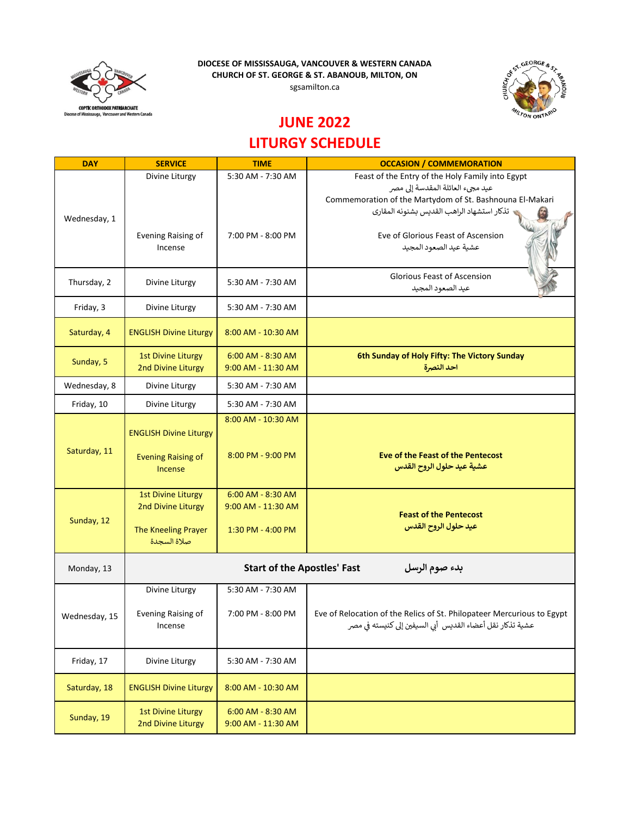**DIOCESE OF MISSISSAUGA, VANCOUVER & WESTERN CANADA CHURCH OF ST. GEORGE & ST. ABANOUB, MILTON, ON**



sgsamilton.ca



## **JUNE 2022**

## **LITURGY SCHEDULE**

| <b>DAY</b>    | <b>SERVICE</b>                                      | <b>TIME</b>            | <b>OCCASION / COMMEMORATION</b>                                        |  |  |
|---------------|-----------------------------------------------------|------------------------|------------------------------------------------------------------------|--|--|
| Wednesday, 1  | Divine Liturgy                                      | 5:30 AM - 7:30 AM      | Feast of the Entry of the Holy Family into Egypt                       |  |  |
|               |                                                     |                        | عيد مجيء العائلة المقدسة إلى مصر                                       |  |  |
|               |                                                     |                        | Commemoration of the Martydom of St. Bashnouna El-Makari               |  |  |
|               |                                                     |                        | تذكار استشهاد الراهب القديس بشنونه المقارى                             |  |  |
|               |                                                     |                        |                                                                        |  |  |
|               | Evening Raising of                                  | 7:00 PM - 8:00 PM      | Eve of Glorious Feast of Ascension                                     |  |  |
|               | Incense                                             |                        | عشية عيد الصعود المجيد                                                 |  |  |
|               |                                                     |                        |                                                                        |  |  |
| Thursday, 2   | Divine Liturgy                                      | 5:30 AM - 7:30 AM      | Glorious Feast of Ascension                                            |  |  |
|               |                                                     |                        | عيد الصعود المجيد                                                      |  |  |
| Friday, 3     | Divine Liturgy                                      | 5:30 AM - 7:30 AM      |                                                                        |  |  |
|               |                                                     |                        |                                                                        |  |  |
| Saturday, 4   | <b>ENGLISH Divine Liturgy</b>                       | 8:00 AM - 10:30 AM     |                                                                        |  |  |
|               |                                                     |                        |                                                                        |  |  |
|               | <b>1st Divine Liturgy</b>                           | 6:00 AM - 8:30 AM      | 6th Sunday of Holy Fifty: The Victory Sunday                           |  |  |
| Sunday, 5     | 2nd Divine Liturgy                                  | 9:00 AM - 11:30 AM     | احد النصرة                                                             |  |  |
| Wednesday, 8  | Divine Liturgy                                      | 5:30 AM - 7:30 AM      |                                                                        |  |  |
|               |                                                     |                        |                                                                        |  |  |
| Friday, 10    | Divine Liturgy                                      | 5:30 AM - 7:30 AM      |                                                                        |  |  |
|               |                                                     | 8:00 AM - 10:30 AM     |                                                                        |  |  |
|               | <b>ENGLISH Divine Liturgy</b>                       |                        |                                                                        |  |  |
| Saturday, 11  |                                                     |                        |                                                                        |  |  |
|               | <b>Evening Raising of</b>                           | 8:00 PM - 9:00 PM      | Eve of the Feast of the Pentecost                                      |  |  |
|               | Incense                                             |                        | عشية عيد حلول الروح القدس                                              |  |  |
|               |                                                     |                        |                                                                        |  |  |
|               | <b>1st Divine Liturgy</b>                           | 6:00 AM - 8:30 AM      |                                                                        |  |  |
|               | 2nd Divine Liturgy                                  | $9:00$ AM - $11:30$ AM | <b>Feast of the Pentecost</b>                                          |  |  |
| Sunday, 12    |                                                     |                        | عيد حلول الروح القدس                                                   |  |  |
|               | The Kneeling Prayer<br>صلاة السجدة                  | 1:30 PM - 4:00 PM      |                                                                        |  |  |
|               |                                                     |                        |                                                                        |  |  |
| Monday, 13    | <b>Start of the Apostles' Fast</b><br>بدء صوم الرسل |                        |                                                                        |  |  |
|               |                                                     |                        |                                                                        |  |  |
|               | Divine Liturgy                                      | 5:30 AM - 7:30 AM      |                                                                        |  |  |
|               |                                                     |                        |                                                                        |  |  |
| Wednesday, 15 | Evening Raising of                                  | 7:00 PM - 8:00 PM      | Eve of Relocation of the Relics of St. Philopateer Mercurious to Egypt |  |  |
|               | Incense                                             |                        | عشية تذكار نقل أعضاء القديس أبي السيفين إلى كنيسته في مصر              |  |  |
|               |                                                     |                        |                                                                        |  |  |
|               |                                                     |                        |                                                                        |  |  |
| Friday, 17    | Divine Liturgy                                      | 5:30 AM - 7:30 AM      |                                                                        |  |  |
|               |                                                     |                        |                                                                        |  |  |
| Saturday, 18  | <b>ENGLISH Divine Liturgy</b>                       | 8:00 AM - 10:30 AM     |                                                                        |  |  |
|               | <b>1st Divine Liturgy</b>                           | 6:00 AM - 8:30 AM      |                                                                        |  |  |
| Sunday, 19    | 2nd Divine Liturgy                                  | 9:00 AM - 11:30 AM     |                                                                        |  |  |
|               |                                                     |                        |                                                                        |  |  |